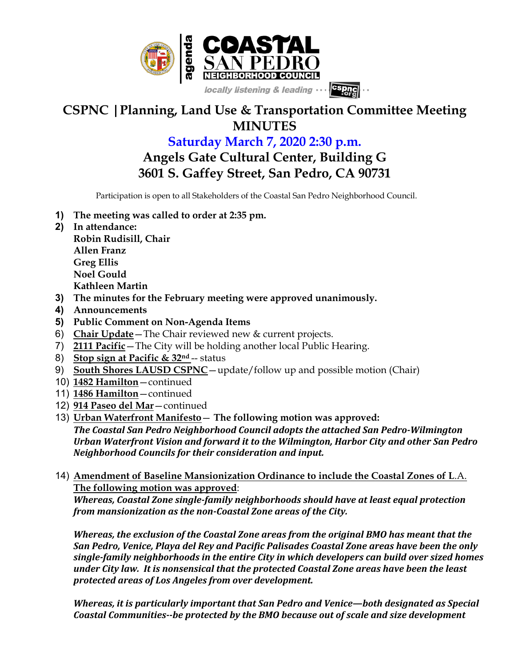

## **CSPNC |Planning, Land Use & Transportation Committee Meeting MINUTES**

## **Saturday March 7, 2020 2:30 p.m.**

**Angels Gate Cultural Center, Building G 3601 S. Gaffey Street, San Pedro, CA 90731**

Participation is open to all Stakeholders of the Coastal San Pedro Neighborhood Council.

- **1) The meeting was called to order at 2:35 pm.**
- **2) In attendance: Robin Rudisill, Chair Allen Franz Greg Ellis Noel Gould Kathleen Martin**
- **3) The minutes for the February meeting were approved unanimously.**
- **4) Announcements**
- **5) Public Comment on Non-Agenda Items**
- 6) **Chair Update**—The Chair reviewed new & current projects.
- 7) **2111 Pacific**—The City will be holding another local Public Hearing.
- 8) **Stop sign at Pacific & 32nd** -- status
- 9) **South Shores LAUSD CSPNC** update/follow up and possible motion (Chair)
- 10) **1482 Hamilton**—continued
- 11) **1486 Hamilton**—continued
- 12) **914 Paseo del Mar**—continued
- 13) **Urban Waterfront Manifesto The following motion was approved:** The Coastal San Pedro Neighborhood Council adopts the attached San Pedro-Wilmington Urban Waterfront Vision and forward it to the Wilmington, Harbor City and other San Pedro *Neighborhood Councils for their consideration and input.*
- 14) **Amendment of Baseline Mansionization Ordinance to include the Coastal Zones of L**.A. **The following motion was approved**:

*Whereas, Coastal Zone single-family neighborhoods should have at least equal protection* from mansionization as the non-Coastal Zone areas of the City.

*Whereas, the exclusion of the Coastal Zone areas from the original BMO has meant that the* San Pedro, Venice, Playa del Rey and Pacific Palisades Coastal Zone areas have been the only single-family neighborhoods in the entire City in which developers can build over sized homes under City law. It is nonsensical that the protected Coastal Zone areas have been the least *protected areas of Los Angeles from over development.*

*Whereas, it is particularly important that San Pedro and Venice—both designated as Special* Coastal Communities--be protected by the BMO because out of scale and size development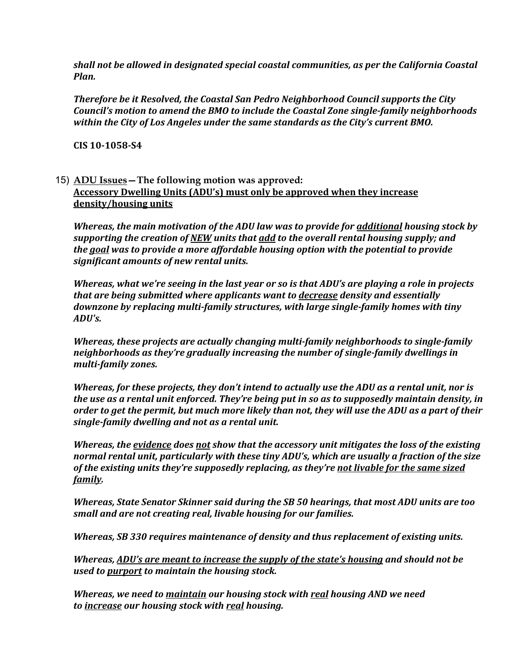shall not be allowed in designated special coastal communities, as per the California Coastal *Plan.*

**Therefore be it Resolved, the Coastal San Pedro Neighborhood Council supports the City** Council's motion to amend the BMO to include the Coastal Zone single-family neighborhoods within the City of Los Angeles under the same standards as the City's current BMO.

**CIS 10-1058-S4**

## 15) **ADU Issues—The following motion was approved: Accessory Dwelling Units (ADU's) must only be approved when they increase density/housing units**

*Whereas, the main motivation of the ADU law was to provide for additional housing stock by* supporting the creation of <u>NEW</u> units that *add* to the overall rental housing supply; and *the goal was to provide a more affordable housing option with the potential to provide significant amounts of new rental units.*

*Whereas, what we're seeing in the last year or so is that ADU's are playing a role in projects that are being submitted where applicants want to decrease density and essentially* downzone by replacing multi-family structures, with large single-family homes with tiny *ADU's.*

*Whereas, these projects are actually changing multi-family neighborhoods to single-family* neighborhoods as they're gradually increasing the number of single-family dwellings in *multi-family zones.*

*Whereas, for these projects, they don't intend to actually use the ADU as a rental unit, nor is* the use as a rental unit enforced. They're being put in so as to supposedly maintain density, in order to get the permit, but much more likely than not, they will use the ADU as a part of their *single-family dwelling and not as a rental unit.*

*Whereas, the <u>evidence</u> does <u>not</u> show that the accessory unit mitigates the loss of the existing* normal rental unit, particularly with these tiny ADU's, which are usually a fraction of the size of the existing units they're supposedly replacing, as they're not livable for the same sized *family.*

*Whereas, State Senator Skinner said during the SB 50 hearings, that most ADU units are too small and are not creating real, livable housing for our families.* 

*Whereas, SB 330 requires maintenance of density and thus replacement of existing units.* 

*Whereas, ADU's are meant to increase the supply of the state's housing and should not be used to <u>purport</u> to maintain the housing stock.* 

*Whereas, we need to <u>maintain</u> our housing stock with <u>real</u> housing AND we need to increase our housing stock with real housing.*